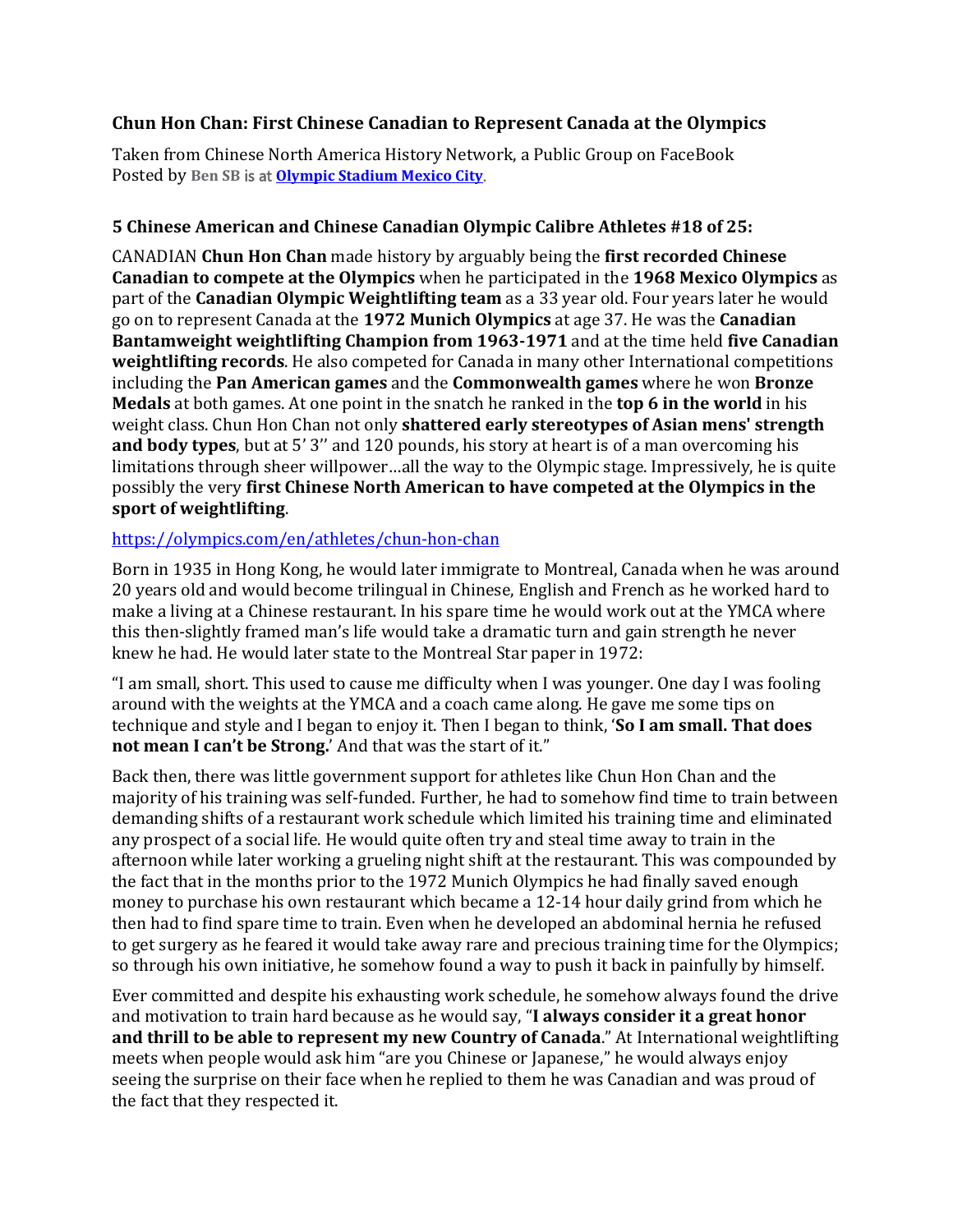## **Chun Hon Chan: First Chinese Canadian to Represent Canada at the Olympics**

Taken from Chinese North America History Network, a Public Group on FaceBook Posted by **Ben SB** is at **Olympic [Stadium](https://www.facebook.com/Olympic-Stadium-Mexico-City-444333859013689/?__cft__%5b0%5d=AZVjA5OtK3HtzOsWlIDAqpNQxf3Ox-7ZNumDRzvC4h6TvrMinW2l4FNj6qlm5dpa-XuLl9whm50xpcNx4pPmmFohXvEY7ZJekI9QI0VHRO3brbsfCGWVjpO5ygv4DMttMtctF90FZLep7DVL4CVZwgWpNtMLB8DaNK_Lzanw3ADfOjPd-IskWgp35OtEdH9VrgQ&__tn__=kC%2CP-R) Mexico City**.

## **5 Chinese American and Chinese Canadian Olympic Calibre Athletes #18 of 25:**

CANADIAN **Chun Hon Chan** made history by arguably being the **first recorded Chinese Canadian to compete at the Olympics** when he participated in the **1968 Mexico Olympics** as part of the **Canadian Olympic Weightlifting team** as a 33 year old. Four years later he would go on to represent Canada at the **1972 Munich Olympics** at age 37. He was the **Canadian Bantamweight weightlifting Champion from 1963-1971** and at the time held **five Canadian weightlifting records**. He also competed for Canada in many other International competitions including the **Pan American games** and the **Commonwealth games** where he won **Bronze Medals** at both games. At one point in the snatch he ranked in the **top 6 in the world** in his weight class. Chun Hon Chan not only **shattered early stereotypes of Asian mens' strength and body types**, but at 5' 3'' and 120 pounds, his story at heart is of a man overcoming his limitations through sheer willpower…all the way to the Olympic stage. Impressively, he is quite possibly the very **first Chinese North American to have competed at the Olympics in the sport of weightlifting**.

## <https://olympics.com/en/athletes/chun-hon-chan>

Born in 1935 in Hong Kong, he would later immigrate to Montreal, Canada when he was around 20 years old and would become trilingual in Chinese, English and French as he worked hard to make a living at a Chinese restaurant. In his spare time he would work out at the YMCA where this then-slightly framed man's life would take a dramatic turn and gain strength he never knew he had. He would later state to the Montreal Star paper in 1972:

"I am small, short. This used to cause me difficulty when I was younger. One day I was fooling around with the weights at the YMCA and a coach came along. He gave me some tips on technique and style and I began to enjoy it. Then I began to think, '**So I am small. That does not mean I can't be Strong.**' And that was the start of it."

Back then, there was little government support for athletes like Chun Hon Chan and the majority of his training was self-funded. Further, he had to somehow find time to train between demanding shifts of a restaurant work schedule which limited his training time and eliminated any prospect of a social life. He would quite often try and steal time away to train in the afternoon while later working a grueling night shift at the restaurant. This was compounded by the fact that in the months prior to the 1972 Munich Olympics he had finally saved enough money to purchase his own restaurant which became a 12-14 hour daily grind from which he then had to find spare time to train. Even when he developed an abdominal hernia he refused to get surgery as he feared it would take away rare and precious training time for the Olympics; so through his own initiative, he somehow found a way to push it back in painfully by himself.

Ever committed and despite his exhausting work schedule, he somehow always found the drive and motivation to train hard because as he would say, "**I always consider it a great honor and thrill to be able to represent my new Country of Canada**." At International weightlifting meets when people would ask him "are you Chinese or Japanese," he would always enjoy seeing the surprise on their face when he replied to them he was Canadian and was proud of the fact that they respected it.